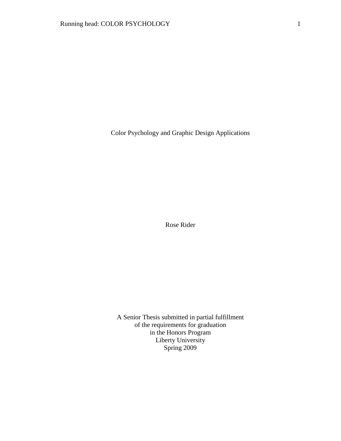Color Psychology and Graphic Design Applications

Rose Rider

A Senior Thesis submitted in partial fulfillment of the requirements for graduation in the Honors Program Liberty University Spring 2009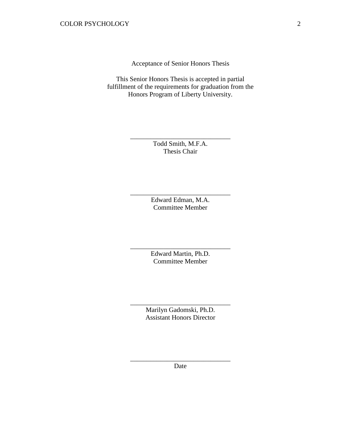Acceptance of Senior Honors Thesis

This Senior Honors Thesis is accepted in partial fulfillment of the requirements for graduation from the Honors Program of Liberty University.

> Todd Smith, M.F.A. Thesis Chair

\_\_\_\_\_\_\_\_\_\_\_\_\_\_\_\_\_\_\_\_\_\_\_\_\_\_\_\_\_\_

Edward Edman, M.A. Committee Member

\_\_\_\_\_\_\_\_\_\_\_\_\_\_\_\_\_\_\_\_\_\_\_\_\_\_\_\_\_\_

Edward Martin, Ph.D. Committee Member

\_\_\_\_\_\_\_\_\_\_\_\_\_\_\_\_\_\_\_\_\_\_\_\_\_\_\_\_\_\_

Marilyn Gadomski, Ph.D. Assistant Honors Director

\_\_\_\_\_\_\_\_\_\_\_\_\_\_\_\_\_\_\_\_\_\_\_\_\_\_\_\_\_\_

\_\_\_\_\_\_\_\_\_\_\_\_\_\_\_\_\_\_\_\_\_\_\_\_\_\_\_\_\_\_ Date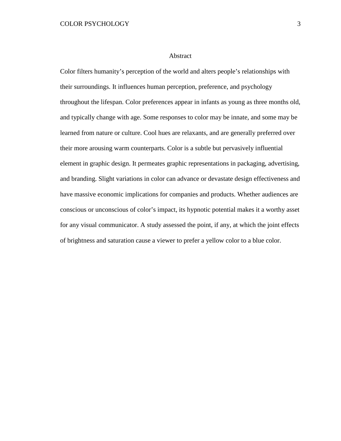#### Abstract

Color filters humanity's perception of the world and alters people's relationships with their surroundings. It influences human perception, preference, and psychology throughout the lifespan. Color preferences appear in infants as young as three months old, and typically change with age. Some responses to color may be innate, and some may be learned from nature or culture. Cool hues are relaxants, and are generally preferred over their more arousing warm counterparts. Color is a subtle but pervasively influential element in graphic design. It permeates graphic representations in packaging, advertising, and branding. Slight variations in color can advance or devastate design effectiveness and have massive economic implications for companies and products. Whether audiences are conscious or unconscious of color's impact, its hypnotic potential makes it a worthy asset for any visual communicator. A study assessed the point, if any, at which the joint effects of brightness and saturation cause a viewer to prefer a yellow color to a blue color.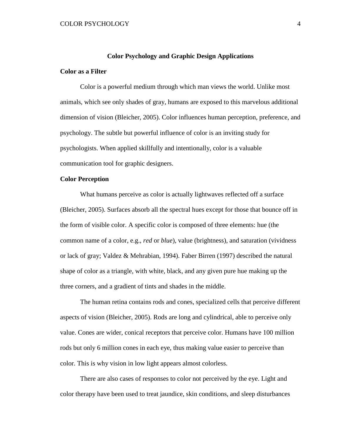#### **Color Psychology and Graphic Design Applications**

## **Color as a Filter**

Color is a powerful medium through which man views the world. Unlike most animals, which see only shades of gray, humans are exposed to this marvelous additional dimension of vision (Bleicher, 2005). Color influences human perception, preference, and psychology. The subtle but powerful influence of color is an inviting study for psychologists. When applied skillfully and intentionally, color is a valuable communication tool for graphic designers.

## **Color Perception**

What humans perceive as color is actually lightwaves reflected off a surface (Bleicher, 2005). Surfaces absorb all the spectral hues except for those that bounce off in the form of visible color. A specific color is composed of three elements: hue (the common name of a color, e.g., *red* or *blue*), value (brightness), and saturation (vividness or lack of gray; Valdez & Mehrabian, 1994). Faber Birren (1997) described the natural shape of color as a triangle, with white, black, and any given pure hue making up the three corners, and a gradient of tints and shades in the middle.

The human retina contains rods and cones, specialized cells that perceive different aspects of vision (Bleicher, 2005). Rods are long and cylindrical, able to perceive only value. Cones are wider, conical receptors that perceive color. Humans have 100 million rods but only 6 million cones in each eye, thus making value easier to perceive than color. This is why vision in low light appears almost colorless.

There are also cases of responses to color not perceived by the eye. Light and color therapy have been used to treat jaundice, skin conditions, and sleep disturbances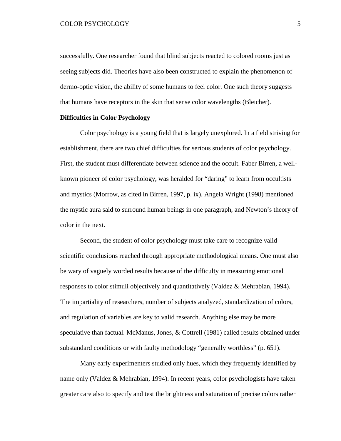successfully. One researcher found that blind subjects reacted to colored rooms just as seeing subjects did. Theories have also been constructed to explain the phenomenon of dermo-optic vision, the ability of some humans to feel color. One such theory suggests that humans have receptors in the skin that sense color wavelengths (Bleicher).

#### **Difficulties in Color Psychology**

Color psychology is a young field that is largely unexplored. In a field striving for establishment, there are two chief difficulties for serious students of color psychology. First, the student must differentiate between science and the occult. Faber Birren, a wellknown pioneer of color psychology, was heralded for "daring" to learn from occultists and mystics (Morrow, as cited in Birren, 1997, p. ix). Angela Wright (1998) mentioned the mystic aura said to surround human beings in one paragraph, and Newton's theory of color in the next.

Second, the student of color psychology must take care to recognize valid scientific conclusions reached through appropriate methodological means. One must also be wary of vaguely worded results because of the difficulty in measuring emotional responses to color stimuli objectively and quantitatively (Valdez & Mehrabian, 1994). The impartiality of researchers, number of subjects analyzed, standardization of colors, and regulation of variables are key to valid research. Anything else may be more speculative than factual. McManus, Jones, & Cottrell (1981) called results obtained under substandard conditions or with faulty methodology "generally worthless" (p. 651).

Many early experimenters studied only hues, which they frequently identified by name only (Valdez & Mehrabian, 1994). In recent years, color psychologists have taken greater care also to specify and test the brightness and saturation of precise colors rather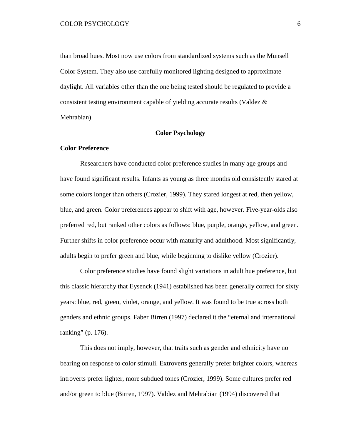than broad hues. Most now use colors from standardized systems such as the Munsell Color System. They also use carefully monitored lighting designed to approximate daylight. All variables other than the one being tested should be regulated to provide a consistent testing environment capable of yielding accurate results (Valdez & Mehrabian).

# **Color Psychology**

#### **Color Preference**

Researchers have conducted color preference studies in many age groups and have found significant results. Infants as young as three months old consistently stared at some colors longer than others (Crozier, 1999). They stared longest at red, then yellow, blue, and green. Color preferences appear to shift with age, however. Five-year-olds also preferred red, but ranked other colors as follows: blue, purple, orange, yellow, and green. Further shifts in color preference occur with maturity and adulthood. Most significantly, adults begin to prefer green and blue, while beginning to dislike yellow (Crozier).

Color preference studies have found slight variations in adult hue preference, but this classic hierarchy that Eysenck (1941) established has been generally correct for sixty years: blue, red, green, violet, orange, and yellow. It was found to be true across both genders and ethnic groups. Faber Birren (1997) declared it the "eternal and international ranking" (p. 176).

This does not imply, however, that traits such as gender and ethnicity have no bearing on response to color stimuli. Extroverts generally prefer brighter colors, whereas introverts prefer lighter, more subdued tones (Crozier, 1999). Some cultures prefer red and/or green to blue (Birren, 1997). Valdez and Mehrabian (1994) discovered that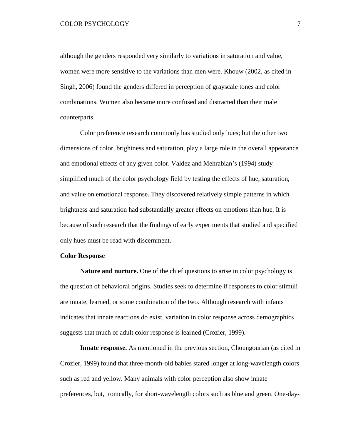although the genders responded very similarly to variations in saturation and value, women were more sensitive to the variations than men were. Khouw (2002, as cited in Singh, 2006) found the genders differed in perception of grayscale tones and color combinations. Women also became more confused and distracted than their male counterparts.

Color preference research commonly has studied only hues; but the other two dimensions of color, brightness and saturation, play a large role in the overall appearance and emotional effects of any given color. Valdez and Mehrabian's (1994) study simplified much of the color psychology field by testing the effects of hue, saturation, and value on emotional response. They discovered relatively simple patterns in which brightness and saturation had substantially greater effects on emotions than hue. It is because of such research that the findings of early experiments that studied and specified only hues must be read with discernment.

# **Color Response**

**Nature and nurture.** One of the chief questions to arise in color psychology is the question of behavioral origins. Studies seek to determine if responses to color stimuli are innate, learned, or some combination of the two. Although research with infants indicates that innate reactions do exist, variation in color response across demographics suggests that much of adult color response is learned (Crozier, 1999).

**Innate response.** As mentioned in the previous section, Choungourian (as cited in Crozier, 1999) found that three-month-old babies stared longer at long-wavelength colors such as red and yellow. Many animals with color perception also show innate preferences, but, ironically, for short-wavelength colors such as blue and green. One-day-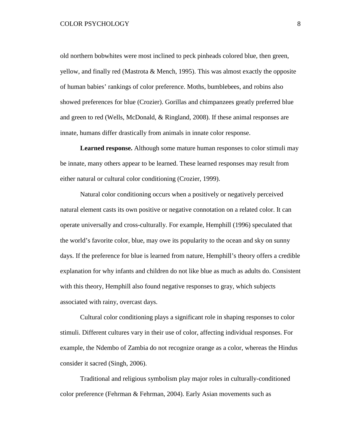old northern bobwhites were most inclined to peck pinheads colored blue, then green, yellow, and finally red (Mastrota & Mench, 1995). This was almost exactly the opposite of human babies' rankings of color preference. Moths, bumblebees, and robins also showed preferences for blue (Crozier). Gorillas and chimpanzees greatly preferred blue and green to red (Wells, McDonald, & Ringland, 2008). If these animal responses are innate, humans differ drastically from animals in innate color response.

**Learned response.** Although some mature human responses to color stimuli may be innate, many others appear to be learned. These learned responses may result from either natural or cultural color conditioning (Crozier, 1999).

Natural color conditioning occurs when a positively or negatively perceived natural element casts its own positive or negative connotation on a related color. It can operate universally and cross-culturally. For example, Hemphill (1996) speculated that the world's favorite color, blue, may owe its popularity to the ocean and sky on sunny days. If the preference for blue is learned from nature, Hemphill's theory offers a credible explanation for why infants and children do not like blue as much as adults do. Consistent with this theory, Hemphill also found negative responses to gray, which subjects associated with rainy, overcast days.

Cultural color conditioning plays a significant role in shaping responses to color stimuli. Different cultures vary in their use of color, affecting individual responses. For example, the Ndembo of Zambia do not recognize orange as a color, whereas the Hindus consider it sacred (Singh, 2006).

Traditional and religious symbolism play major roles in culturally-conditioned color preference (Fehrman & Fehrman, 2004). Early Asian movements such as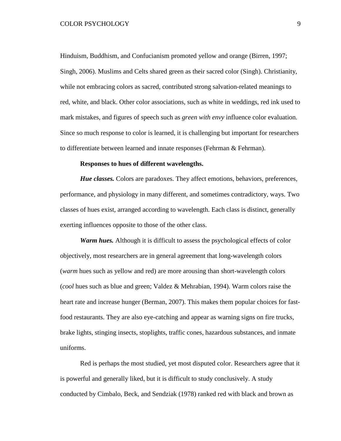Hinduism, Buddhism, and Confucianism promoted yellow and orange (Birren, 1997; Singh, 2006). Muslims and Celts shared green as their sacred color (Singh). Christianity, while not embracing colors as sacred, contributed strong salvation-related meanings to red, white, and black. Other color associations, such as white in weddings, red ink used to mark mistakes, and figures of speech such as *green with envy* influence color evaluation. Since so much response to color is learned, it is challenging but important for researchers to differentiate between learned and innate responses (Fehrman & Fehrman).

#### **Responses to hues of different wavelengths.**

*Hue classes.* Colors are paradoxes. They affect emotions, behaviors, preferences, performance, and physiology in many different, and sometimes contradictory, ways. Two classes of hues exist, arranged according to wavelength. Each class is distinct, generally exerting influences opposite to those of the other class.

*Warm hues.* Although it is difficult to assess the psychological effects of color objectively, most researchers are in general agreement that long-wavelength colors (*warm* hues such as yellow and red) are more arousing than short-wavelength colors (*cool* hues such as blue and green; Valdez & Mehrabian, 1994). Warm colors raise the heart rate and increase hunger (Berman, 2007). This makes them popular choices for fastfood restaurants. They are also eye-catching and appear as warning signs on fire trucks, brake lights, stinging insects, stoplights, traffic cones, hazardous substances, and inmate uniforms.

Red is perhaps the most studied, yet most disputed color. Researchers agree that it is powerful and generally liked, but it is difficult to study conclusively. A study conducted by Cimbalo, Beck, and Sendziak (1978) ranked red with black and brown as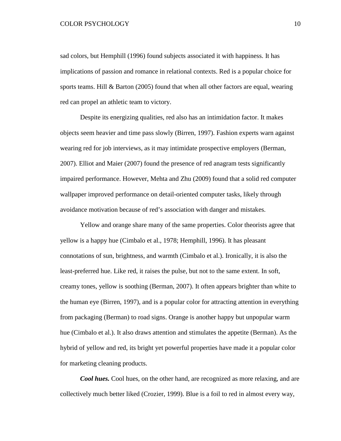sad colors, but Hemphill (1996) found subjects associated it with happiness. It has implications of passion and romance in relational contexts. Red is a popular choice for sports teams. Hill & Barton (2005) found that when all other factors are equal, wearing red can propel an athletic team to victory.

Despite its energizing qualities, red also has an intimidation factor. It makes objects seem heavier and time pass slowly (Birren, 1997). Fashion experts warn against wearing red for job interviews, as it may intimidate prospective employers (Berman, 2007). Elliot and Maier (2007) found the presence of red anagram tests significantly impaired performance. However, Mehta and Zhu (2009) found that a solid red computer wallpaper improved performance on detail-oriented computer tasks, likely through avoidance motivation because of red's association with danger and mistakes.

Yellow and orange share many of the same properties. Color theorists agree that yellow is a happy hue (Cimbalo et al., 1978; Hemphill, 1996). It has pleasant connotations of sun, brightness, and warmth (Cimbalo et al.). Ironically, it is also the least-preferred hue. Like red, it raises the pulse, but not to the same extent. In soft, creamy tones, yellow is soothing (Berman, 2007). It often appears brighter than white to the human eye (Birren, 1997), and is a popular color for attracting attention in everything from packaging (Berman) to road signs. Orange is another happy but unpopular warm hue (Cimbalo et al.). It also draws attention and stimulates the appetite (Berman). As the hybrid of yellow and red, its bright yet powerful properties have made it a popular color for marketing cleaning products.

*Cool hues.* Cool hues, on the other hand, are recognized as more relaxing, and are collectively much better liked (Crozier, 1999). Blue is a foil to red in almost every way,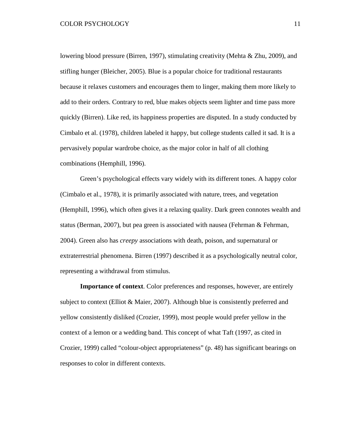lowering blood pressure (Birren, 1997), stimulating creativity (Mehta & Zhu, 2009), and stifling hunger (Bleicher, 2005). Blue is a popular choice for traditional restaurants because it relaxes customers and encourages them to linger, making them more likely to add to their orders. Contrary to red, blue makes objects seem lighter and time pass more quickly (Birren). Like red, its happiness properties are disputed. In a study conducted by Cimbalo et al. (1978), children labeled it happy, but college students called it sad. It is a pervasively popular wardrobe choice, as the major color in half of all clothing combinations (Hemphill, 1996).

Green's psychological effects vary widely with its different tones. A happy color (Cimbalo et al., 1978), it is primarily associated with nature, trees, and vegetation (Hemphill, 1996), which often gives it a relaxing quality. Dark green connotes wealth and status (Berman, 2007), but pea green is associated with nausea (Fehrman & Fehrman, 2004). Green also has *creepy* associations with death, poison, and supernatural or extraterrestrial phenomena. Birren (1997) described it as a psychologically neutral color, representing a withdrawal from stimulus.

**Importance of context**. Color preferences and responses, however, are entirely subject to context (Elliot & Maier, 2007). Although blue is consistently preferred and yellow consistently disliked (Crozier, 1999), most people would prefer yellow in the context of a lemon or a wedding band. This concept of what Taft (1997, as cited in Crozier, 1999) called "colour-object appropriateness" (p. 48) has significant bearings on responses to color in different contexts.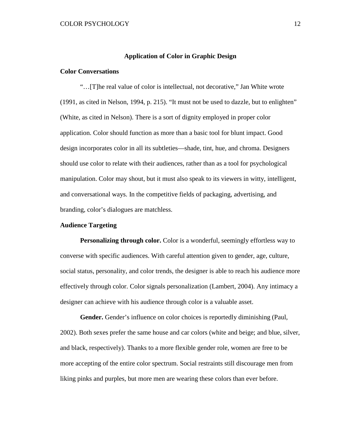#### **Application of Color in Graphic Design**

# **Color Conversations**

"…[T]he real value of color is intellectual, not decorative," Jan White wrote (1991, as cited in Nelson, 1994, p. 215). "It must not be used to dazzle, but to enlighten" (White, as cited in Nelson). There is a sort of dignity employed in proper color application. Color should function as more than a basic tool for blunt impact. Good design incorporates color in all its subtleties—shade, tint, hue, and chroma. Designers should use color to relate with their audiences, rather than as a tool for psychological manipulation. Color may shout, but it must also speak to its viewers in witty, intelligent, and conversational ways. In the competitive fields of packaging, advertising, and branding, color's dialogues are matchless.

#### **Audience Targeting**

**Personalizing through color.** Color is a wonderful, seemingly effortless way to converse with specific audiences. With careful attention given to gender, age, culture, social status, personality, and color trends, the designer is able to reach his audience more effectively through color. Color signals personalization (Lambert, 2004). Any intimacy a designer can achieve with his audience through color is a valuable asset.

**Gender.** Gender's influence on color choices is reportedly diminishing (Paul, 2002). Both sexes prefer the same house and car colors (white and beige; and blue, silver, and black, respectively). Thanks to a more flexible gender role, women are free to be more accepting of the entire color spectrum. Social restraints still discourage men from liking pinks and purples, but more men are wearing these colors than ever before.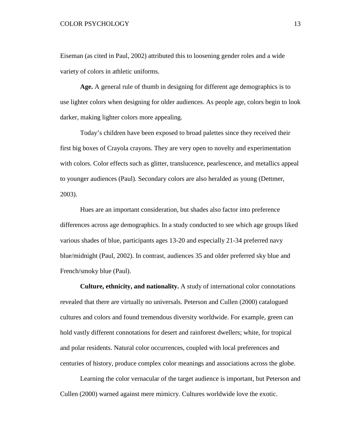Eiseman (as cited in Paul, 2002) attributed this to loosening gender roles and a wide variety of colors in athletic uniforms.

**Age.** A general rule of thumb in designing for different age demographics is to use lighter colors when designing for older audiences. As people age, colors begin to look darker, making lighter colors more appealing.

Today's children have been exposed to broad palettes since they received their first big boxes of Crayola crayons. They are very open to novelty and experimentation with colors. Color effects such as glitter, translucence, pearlescence, and metallics appeal to younger audiences (Paul). Secondary colors are also heralded as young (Dettmer, 2003).

Hues are an important consideration, but shades also factor into preference differences across age demographics. In a study conducted to see which age groups liked various shades of blue, participants ages 13-20 and especially 21-34 preferred navy blue/midnight (Paul, 2002). In contrast, audiences 35 and older preferred sky blue and French/smoky blue (Paul).

**Culture, ethnicity, and nationality.** A study of international color connotations revealed that there are virtually no universals. Peterson and Cullen (2000) catalogued cultures and colors and found tremendous diversity worldwide. For example, green can hold vastly different connotations for desert and rainforest dwellers; white, for tropical and polar residents. Natural color occurrences, coupled with local preferences and centuries of history, produce complex color meanings and associations across the globe.

Learning the color vernacular of the target audience is important, but Peterson and Cullen (2000) warned against mere mimicry. Cultures worldwide love the exotic.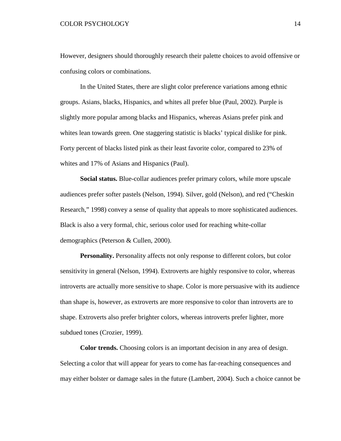However, designers should thoroughly research their palette choices to avoid offensive or confusing colors or combinations.

In the United States, there are slight color preference variations among ethnic groups. Asians, blacks, Hispanics, and whites all prefer blue (Paul, 2002). Purple is slightly more popular among blacks and Hispanics, whereas Asians prefer pink and whites lean towards green. One staggering statistic is blacks' typical dislike for pink. Forty percent of blacks listed pink as their least favorite color, compared to 23% of whites and 17% of Asians and Hispanics (Paul).

**Social status.** Blue-collar audiences prefer primary colors, while more upscale audiences prefer softer pastels (Nelson, 1994). Silver, gold (Nelson), and red ("Cheskin Research," 1998) convey a sense of quality that appeals to more sophisticated audiences. Black is also a very formal, chic, serious color used for reaching white-collar demographics (Peterson & Cullen, 2000).

**Personality.** Personality affects not only response to different colors, but color sensitivity in general (Nelson, 1994). Extroverts are highly responsive to color, whereas introverts are actually more sensitive to shape. Color is more persuasive with its audience than shape is, however, as extroverts are more responsive to color than introverts are to shape. Extroverts also prefer brighter colors, whereas introverts prefer lighter, more subdued tones (Crozier, 1999).

**Color trends.** Choosing colors is an important decision in any area of design. Selecting a color that will appear for years to come has far-reaching consequences and may either bolster or damage sales in the future (Lambert, 2004). Such a choice cannot be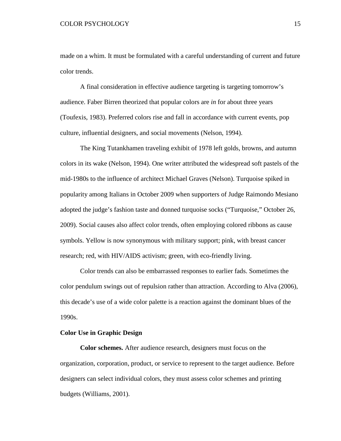made on a whim. It must be formulated with a careful understanding of current and future color trends.

A final consideration in effective audience targeting is targeting tomorrow's audience. Faber Birren theorized that popular colors are *in* for about three years (Toufexis, 1983). Preferred colors rise and fall in accordance with current events, pop culture, influential designers, and social movements (Nelson, 1994).

The King Tutankhamen traveling exhibit of 1978 left golds, browns, and autumn colors in its wake (Nelson, 1994). One writer attributed the widespread soft pastels of the mid-1980s to the influence of architect Michael Graves (Nelson). Turquoise spiked in popularity among Italians in October 2009 when supporters of Judge Raimondo Mesiano adopted the judge's fashion taste and donned turquoise socks ("Turquoise," October 26, 2009). Social causes also affect color trends, often employing colored ribbons as cause symbols. Yellow is now synonymous with military support; pink, with breast cancer research; red, with HIV/AIDS activism; green, with eco-friendly living.

Color trends can also be embarrassed responses to earlier fads. Sometimes the color pendulum swings out of repulsion rather than attraction. According to Alva (2006), this decade's use of a wide color palette is a reaction against the dominant blues of the 1990s.

## **Color Use in Graphic Design**

**Color schemes.** After audience research, designers must focus on the organization, corporation, product, or service to represent to the target audience. Before designers can select individual colors, they must assess color schemes and printing budgets (Williams, 2001).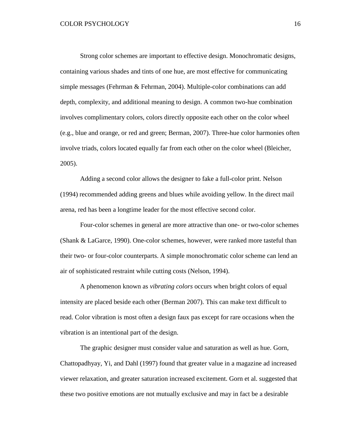Strong color schemes are important to effective design. Monochromatic designs, containing various shades and tints of one hue, are most effective for communicating simple messages (Fehrman & Fehrman, 2004). Multiple-color combinations can add depth, complexity, and additional meaning to design. A common two-hue combination involves complimentary colors, colors directly opposite each other on the color wheel (e.g., blue and orange, or red and green; Berman, 2007). Three-hue color harmonies often involve triads, colors located equally far from each other on the color wheel (Bleicher, 2005).

Adding a second color allows the designer to fake a full-color print. Nelson (1994) recommended adding greens and blues while avoiding yellow. In the direct mail arena, red has been a longtime leader for the most effective second color.

Four-color schemes in general are more attractive than one- or two-color schemes (Shank & LaGarce, 1990). One-color schemes, however, were ranked more tasteful than their two- or four-color counterparts. A simple monochromatic color scheme can lend an air of sophisticated restraint while cutting costs (Nelson, 1994).

A phenomenon known as *vibrating colors* occurs when bright colors of equal intensity are placed beside each other (Berman 2007). This can make text difficult to read. Color vibration is most often a design faux pas except for rare occasions when the vibration is an intentional part of the design.

The graphic designer must consider value and saturation as well as hue. Gorn, Chattopadhyay, Yi, and Dahl (1997) found that greater value in a magazine ad increased viewer relaxation, and greater saturation increased excitement. Gorn et al. suggested that these two positive emotions are not mutually exclusive and may in fact be a desirable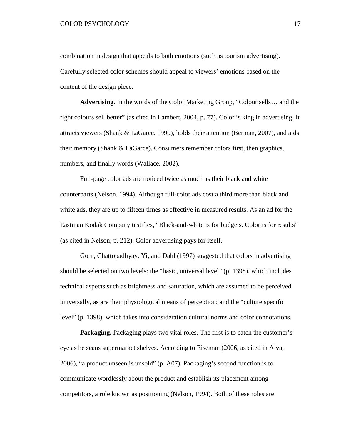combination in design that appeals to both emotions (such as tourism advertising). Carefully selected color schemes should appeal to viewers' emotions based on the content of the design piece.

**Advertising.** In the words of the Color Marketing Group, "Colour sells… and the right colours sell better" (as cited in Lambert, 2004, p. 77). Color is king in advertising. It attracts viewers (Shank & LaGarce, 1990), holds their attention (Berman, 2007), and aids their memory (Shank & LaGarce). Consumers remember colors first, then graphics, numbers, and finally words (Wallace, 2002).

Full-page color ads are noticed twice as much as their black and white counterparts (Nelson, 1994). Although full-color ads cost a third more than black and white ads, they are up to fifteen times as effective in measured results. As an ad for the Eastman Kodak Company testifies, "Black-and-white is for budgets. Color is for results" (as cited in Nelson, p. 212). Color advertising pays for itself.

Gorn, Chattopadhyay, Yi, and Dahl (1997) suggested that colors in advertising should be selected on two levels: the "basic, universal level" (p. 1398), which includes technical aspects such as brightness and saturation, which are assumed to be perceived universally, as are their physiological means of perception; and the "culture specific level" (p. 1398), which takes into consideration cultural norms and color connotations.

**Packaging.** Packaging plays two vital roles. The first is to catch the customer's eye as he scans supermarket shelves. According to Eiseman (2006, as cited in Alva, 2006), "a product unseen is unsold" (p. A07). Packaging's second function is to communicate wordlessly about the product and establish its placement among competitors, a role known as positioning (Nelson, 1994). Both of these roles are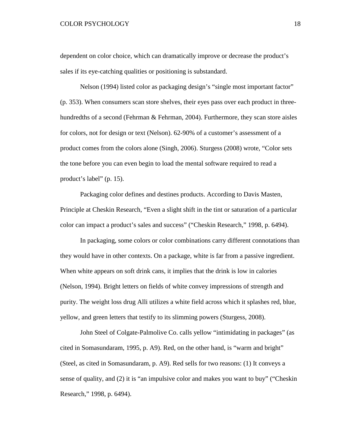dependent on color choice, which can dramatically improve or decrease the product's sales if its eye-catching qualities or positioning is substandard.

Nelson (1994) listed color as packaging design's "single most important factor" (p. 353). When consumers scan store shelves, their eyes pass over each product in threehundredths of a second (Fehrman & Fehrman, 2004). Furthermore, they scan store aisles for colors, not for design or text (Nelson). 62-90% of a customer's assessment of a product comes from the colors alone (Singh, 2006). Sturgess (2008) wrote, "Color sets the tone before you can even begin to load the mental software required to read a product's label" (p. 15).

Packaging color defines and destines products. According to Davis Masten, Principle at Cheskin Research, "Even a slight shift in the tint or saturation of a particular color can impact a product's sales and success" ("Cheskin Research," 1998, p. 6494).

In packaging, some colors or color combinations carry different connotations than they would have in other contexts. On a package, white is far from a passive ingredient. When white appears on soft drink cans, it implies that the drink is low in calories (Nelson, 1994). Bright letters on fields of white convey impressions of strength and purity. The weight loss drug Alli utilizes a white field across which it splashes red, blue, yellow, and green letters that testify to its slimming powers (Sturgess, 2008).

John Steel of Colgate-Palmolive Co. calls yellow "intimidating in packages" (as cited in Somasundaram, 1995, p. A9). Red, on the other hand, is "warm and bright" (Steel, as cited in Somasundaram, p. A9). Red sells for two reasons: (1) It conveys a sense of quality, and (2) it is "an impulsive color and makes you want to buy" ("Cheskin Research," 1998, p. 6494).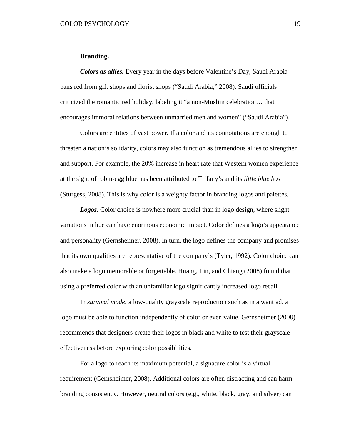#### **Branding.**

*Colors as allies.* Every year in the days before Valentine's Day, Saudi Arabia bans red from gift shops and florist shops ("Saudi Arabia," 2008). Saudi officials criticized the romantic red holiday, labeling it "a non-Muslim celebration… that encourages immoral relations between unmarried men and women" ("Saudi Arabia").

Colors are entities of vast power. If a color and its connotations are enough to threaten a nation's solidarity, colors may also function as tremendous allies to strengthen and support. For example, the 20% increase in heart rate that Western women experience at the sight of robin-egg blue has been attributed to Tiffany's and its *little blue box* (Sturgess, 2008). This is why color is a weighty factor in branding logos and palettes.

*Logos.* Color choice is nowhere more crucial than in logo design, where slight variations in hue can have enormous economic impact. Color defines a logo's appearance and personality (Gernsheimer, 2008). In turn, the logo defines the company and promises that its own qualities are representative of the company's (Tyler, 1992). Color choice can also make a logo memorable or forgettable. Huang, Lin, and Chiang (2008) found that using a preferred color with an unfamiliar logo significantly increased logo recall.

In *survival mode*, a low-quality grayscale reproduction such as in a want ad, a logo must be able to function independently of color or even value. Gernsheimer (2008) recommends that designers create their logos in black and white to test their grayscale effectiveness before exploring color possibilities.

For a logo to reach its maximum potential, a signature color is a virtual requirement (Gernsheimer, 2008). Additional colors are often distracting and can harm branding consistency. However, neutral colors (e.g., white, black, gray, and silver) can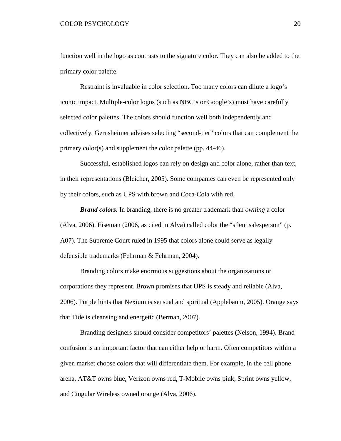function well in the logo as contrasts to the signature color. They can also be added to the primary color palette.

Restraint is invaluable in color selection. Too many colors can dilute a logo's iconic impact. Multiple-color logos (such as NBC's or Google's) must have carefully selected color palettes. The colors should function well both independently and collectively. Gernsheimer advises selecting "second-tier" colors that can complement the primary color(s) and supplement the color palette (pp. 44-46).

Successful, established logos can rely on design and color alone, rather than text, in their representations (Bleicher, 2005). Some companies can even be represented only by their colors, such as UPS with brown and Coca-Cola with red.

*Brand colors.* In branding, there is no greater trademark than *owning* a color (Alva, 2006). Eiseman (2006, as cited in Alva) called color the "silent salesperson" (p. A07). The Supreme Court ruled in 1995 that colors alone could serve as legally defensible trademarks (Fehrman & Fehrman, 2004).

Branding colors make enormous suggestions about the organizations or corporations they represent. Brown promises that UPS is steady and reliable (Alva, 2006). Purple hints that Nexium is sensual and spiritual (Applebaum, 2005). Orange says that Tide is cleansing and energetic (Berman, 2007).

Branding designers should consider competitors' palettes (Nelson, 1994). Brand confusion is an important factor that can either help or harm. Often competitors within a given market choose colors that will differentiate them. For example, in the cell phone arena, AT&T owns blue, Verizon owns red, T-Mobile owns pink, Sprint owns yellow, and Cingular Wireless owned orange (Alva, 2006).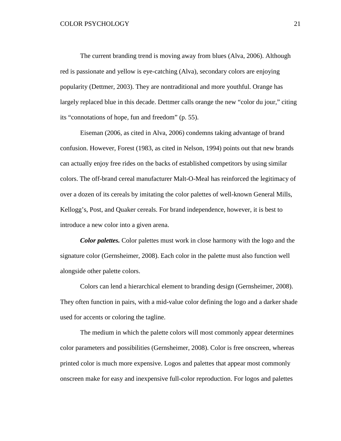The current branding trend is moving away from blues (Alva, 2006). Although red is passionate and yellow is eye-catching (Alva), secondary colors are enjoying popularity (Dettmer, 2003). They are nontraditional and more youthful. Orange has largely replaced blue in this decade. Dettmer calls orange the new "color du jour," citing its "connotations of hope, fun and freedom" (p. 55).

Eiseman (2006, as cited in Alva, 2006) condemns taking advantage of brand confusion. However, Forest (1983, as cited in Nelson, 1994) points out that new brands can actually enjoy free rides on the backs of established competitors by using similar colors. The off-brand cereal manufacturer Malt-O-Meal has reinforced the legitimacy of over a dozen of its cereals by imitating the color palettes of well-known General Mills, Kellogg's, Post, and Quaker cereals. For brand independence, however, it is best to introduce a new color into a given arena.

*Color palettes.* Color palettes must work in close harmony with the logo and the signature color (Gernsheimer, 2008). Each color in the palette must also function well alongside other palette colors.

Colors can lend a hierarchical element to branding design (Gernsheimer, 2008). They often function in pairs, with a mid-value color defining the logo and a darker shade used for accents or coloring the tagline.

The medium in which the palette colors will most commonly appear determines color parameters and possibilities (Gernsheimer, 2008). Color is free onscreen, whereas printed color is much more expensive. Logos and palettes that appear most commonly onscreen make for easy and inexpensive full-color reproduction. For logos and palettes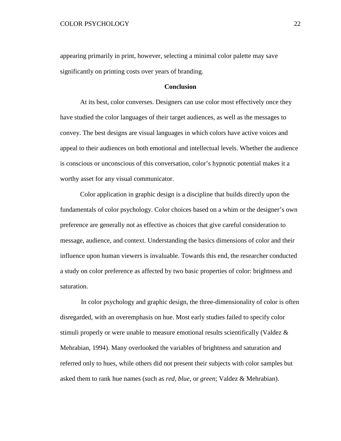appearing primarily in print, however, selecting a minimal color palette may save significantly on printing costs over years of branding.

### **Conclusion**

At its best, color converses. Designers can use color most effectively once they have studied the color languages of their target audiences, as well as the messages to convey. The best designs are visual languages in which colors have active voices and appeal to their audiences on both emotional and intellectual levels. Whether the audience is conscious or unconscious of this conversation, color's hypnotic potential makes it a worthy asset for any visual communicator.

Color application in graphic design is a discipline that builds directly upon the fundamentals of color psychology. Color choices based on a whim or the designer's own preference are generally not as effective as choices that give careful consideration to message, audience, and context. Understanding the basics dimensions of color and their influence upon human viewers is invaluable. Towards this end, the researcher conducted a study on color preference as affected by two basic properties of color: brightness and saturation.

In color psychology and graphic design, the three-dimensionality of color is often disregarded, with an overemphasis on hue. Most early studies failed to specify color stimuli properly or were unable to measure emotional results scientifically (Valdez  $\&$ Mehrabian, 1994). Many overlooked the variables of brightness and saturation and referred only to hues, while others did not present their subjects with color samples but asked them to rank hue names (such as *red*, *blue*, or *green*; Valdez & Mehrabian).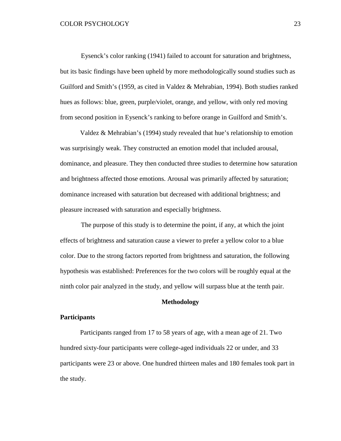Eysenck's color ranking (1941) failed to account for saturation and brightness, but its basic findings have been upheld by more methodologically sound studies such as Guilford and Smith's (1959, as cited in Valdez & Mehrabian, 1994). Both studies ranked hues as follows: blue, green, purple/violet, orange, and yellow, with only red moving from second position in Eysenck's ranking to before orange in Guilford and Smith's.

Valdez & Mehrabian's (1994) study revealed that hue's relationship to emotion was surprisingly weak. They constructed an emotion model that included arousal, dominance, and pleasure. They then conducted three studies to determine how saturation and brightness affected those emotions. Arousal was primarily affected by saturation; dominance increased with saturation but decreased with additional brightness; and pleasure increased with saturation and especially brightness.

The purpose of this study is to determine the point, if any, at which the joint effects of brightness and saturation cause a viewer to prefer a yellow color to a blue color. Due to the strong factors reported from brightness and saturation, the following hypothesis was established: Preferences for the two colors will be roughly equal at the ninth color pair analyzed in the study, and yellow will surpass blue at the tenth pair.

### **Methodology**

## **Participants**

Participants ranged from 17 to 58 years of age, with a mean age of 21. Two hundred sixty-four participants were college-aged individuals 22 or under, and 33 participants were 23 or above. One hundred thirteen males and 180 females took part in the study.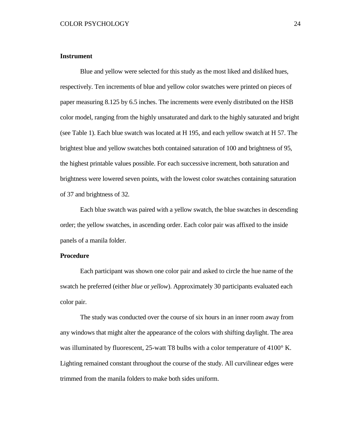# **Instrument**

Blue and yellow were selected for this study as the most liked and disliked hues, respectively. Ten increments of blue and yellow color swatches were printed on pieces of paper measuring 8.125 by 6.5 inches. The increments were evenly distributed on the HSB color model, ranging from the highly unsaturated and dark to the highly saturated and bright (see Table 1). Each blue swatch was located at H 195, and each yellow swatch at H 57. The brightest blue and yellow swatches both contained saturation of 100 and brightness of 95, the highest printable values possible. For each successive increment, both saturation and brightness were lowered seven points, with the lowest color swatches containing saturation of 37 and brightness of 32.

Each blue swatch was paired with a yellow swatch, the blue swatches in descending order; the yellow swatches, in ascending order. Each color pair was affixed to the inside panels of a manila folder.

## **Procedure**

Each participant was shown one color pair and asked to circle the hue name of the swatch he preferred (either *blue* or *yellow*). Approximately 30 participants evaluated each color pair.

The study was conducted over the course of six hours in an inner room away from any windows that might alter the appearance of the colors with shifting daylight. The area was illuminated by fluorescent, 25-watt T8 bulbs with a color temperature of 4100° K. Lighting remained constant throughout the course of the study. All curvilinear edges were trimmed from the manila folders to make both sides uniform.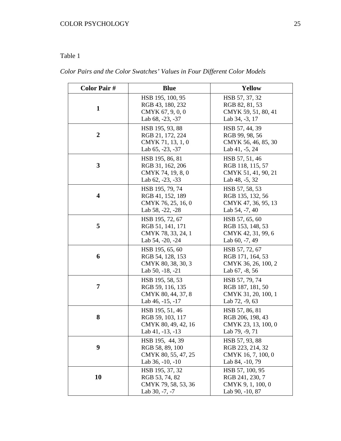# Table 1

*Color Pairs and the Color Swatches' Values in Four Different Color Models*

| <b>Color Pair#</b>      | <b>Blue</b>                                                                      | <b>Yellow</b>                                                                 |
|-------------------------|----------------------------------------------------------------------------------|-------------------------------------------------------------------------------|
| $\mathbf{1}$            | HSB 195, 100, 95<br>RGB 43, 180, 232<br>CMYK 67, 9, 0, 0<br>Lab 68, -23, -37     | HSB 57, 37, 32<br>RGB 82, 81, 53<br>CMYK 59, 51, 80, 41<br>Lab 34, -3, 17     |
| $\boldsymbol{2}$        | HSB 195, 93, 88<br>RGB 21, 172, 224<br>CMYK 71, 13, 1, 0<br>Lab $65, -23, -37$   | HSB 57, 44, 39<br>RGB 99, 98, 56<br>CMYK 56, 46, 85, 30<br>Lab $41, -5, 24$   |
| 3                       | HSB 195, 86, 81<br>RGB 31, 162, 206<br>CMYK 74, 19, 8, 0<br>Lab 62, -23, -33     | HSB 57, 51, 46<br>RGB 118, 115, 57<br>CMYK 51, 41, 90, 21<br>Lab $48, -5, 32$ |
| $\overline{\mathbf{4}}$ | HSB 195, 79, 74<br>RGB 41, 152, 189<br>CMYK 76, 25, 16, 0<br>Lab 58, -22, -28    | HSB 57, 58, 53<br>RGB 135, 132, 56<br>CMYK 47, 36, 95, 13<br>Lab 54, -7, 40   |
| 5                       | HSB 195, 72, 67<br>RGB 51, 141, 171<br>CMYK 78, 33, 24, 1<br>Lab 54, -20, -24    | HSB 57, 65, 60<br>RGB 153, 148, 53<br>CMYK 42, 31, 99, 6<br>Lab $60, -7, 49$  |
| 6                       | HSB 195, 65, 60<br>RGB 54, 128, 153<br>CMYK 80, 38, 30, 3<br>Lab 50, -18, -21    | HSB 57, 72, 67<br>RGB 171, 164, 53<br>CMYK 36, 26, 100, 2<br>Lab 67, -8, 56   |
| 7                       | HSB 195, 58, 53<br>RGB 59, 116, 135<br>CMYK 80, 44, 37, 8<br>Lab 46, -15, -17    | HSB 57, 79, 74<br>RGB 187, 181, 50<br>CMYK 31, 20, 100, 1<br>Lab 72, -9, 63   |
| 8                       | HSB 195, 51, 46<br>RGB 59, 103, 117<br>CMYK 80, 49, 42, 16<br>Lab $41, -13, -13$ | HSB 57, 86, 81<br>RGB 206, 198, 43<br>CMYK 23, 13, 100, 0<br>Lab 79, -9, 71   |
| 9                       | HSB 195, 44, 39<br>RGB 58, 89, 100<br>CMYK 80, 55, 47, 25<br>Lab 36, -10, -10    | HSB 57, 93, 88<br>RGB 223, 214, 32<br>CMYK 16, 7, 100, 0<br>Lab 84, -10, 79   |
| 10                      | HSB 195, 37, 32<br>RGB 53, 74, 82<br>CMYK 79, 58, 53, 36<br>Lab 30, -7, -7       | HSB 57, 100, 95<br>RGB 241, 230, 7<br>CMYK 9, 1, 100, 0<br>Lab 90, -10, 87    |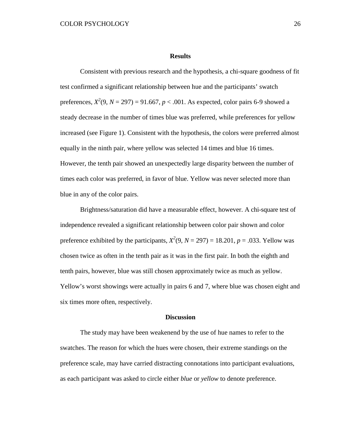#### **Results**

Consistent with previous research and the hypothesis, a chi-square goodness of fit test confirmed a significant relationship between hue and the participants' swatch preferences,  $X^2(9, N = 297) = 91.667, p < .001$ . As expected, color pairs 6-9 showed a steady decrease in the number of times blue was preferred, while preferences for yellow increased (see Figure 1). Consistent with the hypothesis, the colors were preferred almost equally in the ninth pair, where yellow was selected 14 times and blue 16 times. However, the tenth pair showed an unexpectedly large disparity between the number of times each color was preferred, in favor of blue. Yellow was never selected more than blue in any of the color pairs.

Brightness/saturation did have a measurable effect, however. A chi-square test of independence revealed a significant relationship between color pair shown and color preference exhibited by the participants,  $X^2(9, N = 297) = 18.201, p = .033$ . Yellow was chosen twice as often in the tenth pair as it was in the first pair. In both the eighth and tenth pairs, however, blue was still chosen approximately twice as much as yellow. Yellow's worst showings were actually in pairs 6 and 7, where blue was chosen eight and six times more often, respectively.

#### **Discussion**

The study may have been weakenend by the use of hue names to refer to the swatches. The reason for which the hues were chosen, their extreme standings on the preference scale, may have carried distracting connotations into participant evaluations, as each participant was asked to circle either *blue* or *yellow* to denote preference.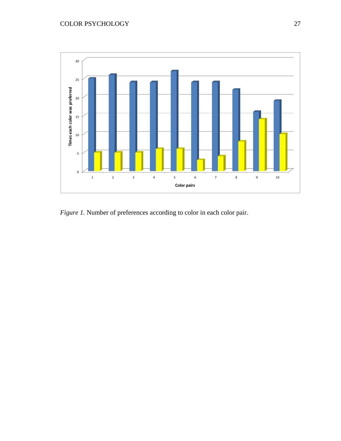

*Figure 1.* Number of preferences according to color in each color pair.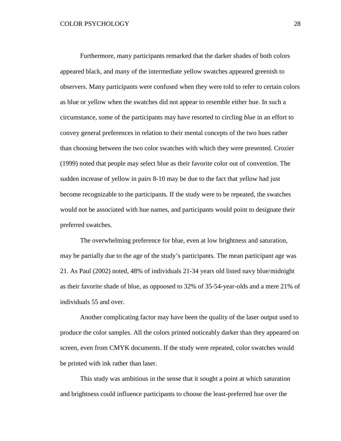Furthermore, many participants remarked that the darker shades of both colors appeared black, and many of the intermediate yellow swatches appeared greenish to observers. Many participants were confused when they were told to refer to certain colors as blue or yellow when the swatches did not appear to resemble either hue. In such a circumstance, some of the participants may have resorted to circling *blue* in an effort to convey general preferences in relation to their mental concepts of the two hues rather than choosing between the two color swatches with which they were presented. Crozier (1999) noted that people may select blue as their favorite color out of convention. The sudden increase of yellow in pairs 8-10 may be due to the fact that yellow had just become recognizable to the participants. If the study were to be repeated, the swatches would not be associated with hue names, and participants would point to designate their preferred swatches.

The overwhelming preference for blue, even at low brightness and saturation, may be partially due to the age of the study's participants. The mean participant age was 21. As Paul (2002) noted, 48% of individuals 21-34 years old listed navy blue/midnight as their favorite shade of blue, as oppoosed to 32% of 35-54-year-olds and a mere 21% of individuals 55 and over.

Another complicating factor may have been the quality of the laser output used to produce the color samples. All the colors printed noticeably darker than they appeared on screen, even from CMYK documents. If the study were repeated, color swatches would be printed with ink rather than laser.

This study was ambitious in the sense that it sought a point at which saturation and brightness could influence participants to choose the least-preferred hue over the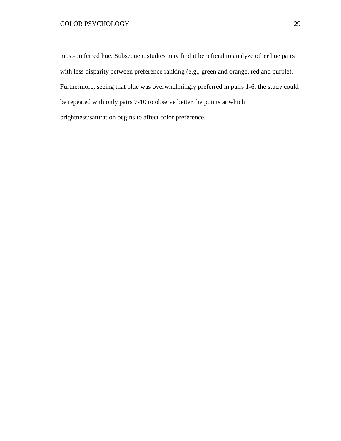most-preferred hue. Subsequent studies may find it beneficial to analyze other hue pairs with less disparity between preference ranking (e.g., green and orange, red and purple). Furthermore, seeing that blue was overwhelmingly preferred in pairs 1-6, the study could be repeated with only pairs 7-10 to observe better the points at which brightness/saturation begins to affect color preference.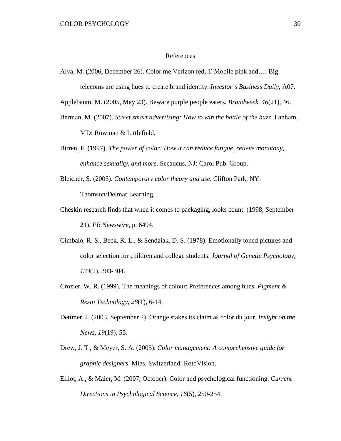#### References

Alva, M. (2006, December 26). Color me Verizon red, T-Mobile pink and…: Big telecoms are using hues to create brand identity. *Investor's Business Daily*, A07.

Applebaum, M. (2005, May 23). Beware purple people eaters. *Brandweek, 46*(21), 46.

- Berman, M. (2007). *Street smart advertising: How to win the battle of the buzz*. Lanham, MD: Rowman & Littlefield.
- Birren, F. (1997). *The power of color: How it can reduce fatigue, relieve monotony, enhance sexuality, and more.* Secaucus, NJ: Carol Pub. Group.
- Bleicher, S. (2005). *Contemporary color theory and use*. Clifton Park, NY: Thomson/Delmar Learning.
- Cheskin research finds that when it comes to packaging, looks count. (1998, September 21). *PR Newswire*, p. 6494.
- Cimbalo, R. S., Beck, K. L., & Sendziak, D. S. (1978). Emotionally toned pictures and color selection for children and college students. *Journal of Genetic Psychology, 133*(2), 303-304.
- Crozier, W. R. (1999). The meanings of colour: Preferences among hues. *Pigment & Resin Technology, 28*(1), 6-14.
- Dettmer, J. (2003, September 2). Orange stakes its claim as color du jour. *Insight on the News, 19*(19), 55.
- Drew, J. T., & Meyer, S. A. (2005). *Color management: A comprehensive guide for graphic designers*. Mies, Switzerland: RotoVision.
- Elliot, A., & Maier, M. (2007, October). Color and psychological functioning. *Current Directions in Psychological Science, 16*(5), 250-254.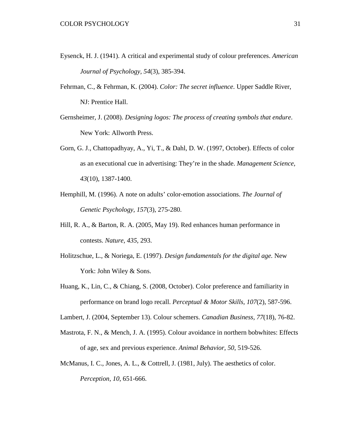- Eysenck, H. J. (1941). A critical and experimental study of colour preferences. *American Journal of Psychology, 54*(3), 385-394.
- Fehrman, C., & Fehrman, K. (2004). *Color: The secret influence*. Upper Saddle River, NJ: Prentice Hall.
- Gernsheimer, J. (2008). *Designing logos: The process of creating symbols that endure*. New York: Allworth Press.
- Gorn, G. J., Chattopadhyay, A., Yi, T., & Dahl, D. W. (1997, October). Effects of color as an executional cue in advertising: They're in the shade. *Management Science, 43*(10), 1387-1400.
- Hemphill, M. (1996). A note on adults' color-emotion associations. *The Journal of Genetic Psychology, 157*(3), 275-280.
- Hill, R. A., & Barton, R. A. (2005, May 19). Red enhances human performance in contests. *Nature, 435,* 293.
- Holitzschue, L., & Noriega, E. (1997). *Design fundamentals for the digital age.* New York: John Wiley & Sons.
- Huang, K., Lin, C., & Chiang, S. (2008, October). Color preference and familiarity in performance on brand logo recall. *Perceptual & Motor Skills, 107*(2), 587-596.

Lambert, J. (2004, September 13). Colour schemers. *Canadian Business, 77*(18), 76-82.

- Mastrota, F. N., & Mench, J. A. (1995). Colour avoidance in northern bobwhites: Effects of age, sex and previous experience. *Animal Behavior, 50*, 519-526.
- McManus, I. C., Jones, A. L., & Cottrell, J. (1981, July). The aesthetics of color. *Perception, 10*, 651-666.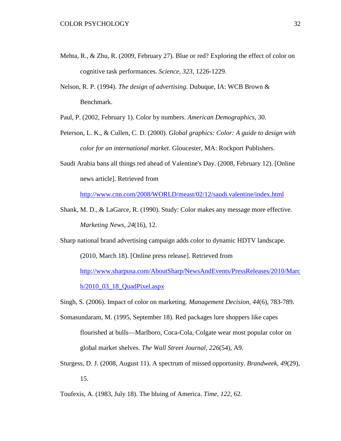- Mehta, R., & Zhu, R. (2009, February 27). Blue or red? Exploring the effect of color on cognitive task performances. *Science, 323*, 1226-1229.
- Nelson, R. P. (1994). *The design of advertising*. Dubuque, IA: WCB Brown & Benchmark.

Paul, P. (2002, February 1). Color by numbers. *American Demographics,* 30.

- Peterson, L. K., & Cullen, C. D. (2000). *Global graphics: Color: A guide to design with color for an international market*. Gloucester, MA: Rockport Publishers.
- Saudi Arabia bans all things red ahead of Valentine's Day. (2008, February 12). [Online news article]. Retrieved from

<http://www.cnn.com/2008/WORLD/meast/02/12/saudi.valentine/index.html>

Shank, M. D., & LaGarce, R. (1990). Study: Color makes any message more effective. *Marketing News*, *24*(16), 12.

Sharp national brand advertising campaign adds color to dynamic HDTV landscape.

(2010, March 18). [Online press release]. Retrieved from

[http://www.sharpusa.com/AboutSharp/NewsAndEvents/PressReleases/2010/Marc](http://www.sharpusa.com/AboutSharp/NewsAndEvents/PressReleases/2010/March/2010_03_18_QuadPixel.aspx)

[h/2010\\_03\\_18\\_QuadPixel.aspx](http://www.sharpusa.com/AboutSharp/NewsAndEvents/PressReleases/2010/March/2010_03_18_QuadPixel.aspx)

- Singh, S. (2006). Impact of color on marketing. *Management Decision, 44*(6), 783-789.
- Somasundaram, M. (1995, September 18). Red packages lure shoppers like capes flourished at bulls—Marlboro, Coca-Cola, Colgate wear most popular color on global market shelves. *The Wall Street Journal*, *226*(54), A9.
- Sturgess, D. J. (2008, August 11). A spectrum of missed opportunity. *Brandweek, 49*(29), 15.
- Toufexis, A. (1983, July 18). The bluing of America. *Time*, *122,* 62.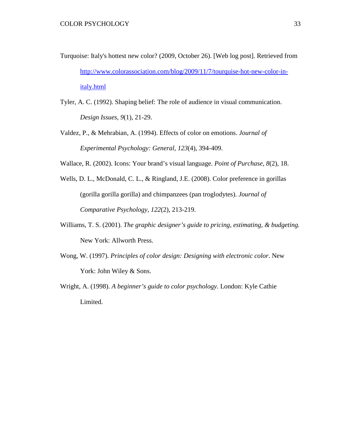- Turquoise: Italy's hottest new color? (2009, October 26). [Web log post]. Retrieved from [http://www.colorassociation.com/blog/2009/11/7/tourquise-hot-new-color-in](http://www.colorassociation.com/blog/2009/11/7/tourquise-hot-new-color-in-italy.html)[italy.html](http://www.colorassociation.com/blog/2009/11/7/tourquise-hot-new-color-in-italy.html)
- Tyler, A. C. (1992). Shaping belief: The role of audience in visual communication. *Design Issues, 9*(1), 21-29.
- Valdez, P., & Mehrabian, A. (1994). Effects of color on emotions. *Journal of Experimental Psychology: General, 123*(4), 394-409.
- Wallace, R. (2002). Icons: Your brand's visual language. *Point of Purchase, 8*(2), 18.
- Wells, D. L., McDonald, C. L., & Ringland, J.E. (2008). Color preference in gorillas (gorilla gorilla gorilla) and chimpanzees (pan troglodytes). *Journal of Comparative Psychology, 122*(2), 213-219.
- Williams, T. S. (2001). *The graphic designer's guide to pricing, estimating, & budgeting.*  New York: Allworth Press.
- Wong, W. (1997). *Principles of color design: Designing with electronic color*. New York: John Wiley & Sons.
- Wright, A. (1998). *A beginner's guide to color psychology.* London: Kyle Cathie Limited.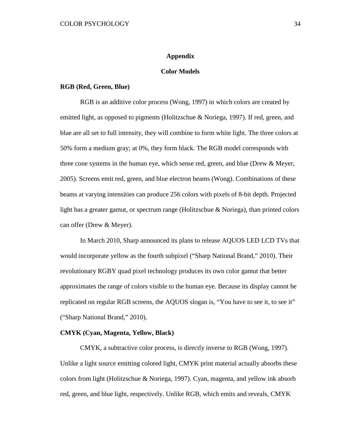#### **Appendix**

# **Color Models**

#### **RGB (Red, Green, Blue)**

RGB is an additive color process (Wong, 1997) in which colors are created by emitted light, as opposed to pigments (Holitzschue & Noriega, 1997). If red, green, and blue are all set to full intensity, they will combine to form white light. The three colors at 50% form a medium gray; at 0%, they form black. The RGB model corresponds with three cone systems in the human eye, which sense red, green, and blue (Drew  $\&$  Meyer, 2005). Screens emit red, green, and blue electron beams (Wong). Combinations of these beams at varying intensities can produce 256 colors with pixels of 8-bit depth. Projected light has a greater gamut, or spectrum range (Holitzschue & Noriega), than printed colors can offer (Drew & Meyer).

In March 2010, Sharp announced its plans to release AQUOS LED LCD TVs that would incorporate yellow as the fourth subpixel ("Sharp National Brand," 2010). Their revolutionary RGBY quad pixel technology produces its own color gamut that better approximates the range of colors visible to the human eye. Because its display cannot be replicated on regular RGB screens, the AQUOS slogan is, "You have to see it, to see it" ("Sharp National Brand," 2010).

## **CMYK (Cyan, Magenta, Yellow, Black)**

CMYK, a subtractive color process, is directly inverse to RGB (Wong, 1997). Unlike a light source emitting colored light, CMYK print material actually absorbs these colors from light (Holitzschue & Noriega, 1997). Cyan, magenta, and yellow ink absorb red, green, and blue light, respectively. Unlike RGB, which emits and reveals, CMYK